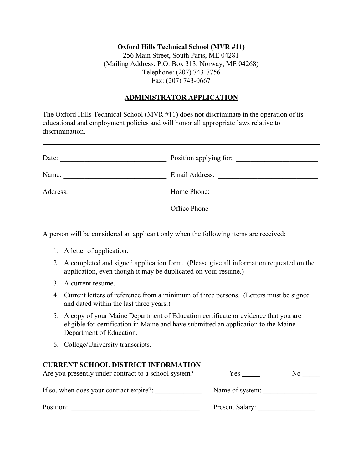## **Oxford Hills Technical School (MVR #11)** 256 Main Street, South Paris, ME 04281 (Mailing Address: P.O. Box 313, Norway, ME 04268) Telephone: (207) 743-7756 Fax: (207) 743-0667

## **ADMINISTRATOR APPLICATION**

The Oxford Hills Technical School (MVR #11) does not discriminate in the operation of its educational and employment policies and will honor all appropriate laws relative to discrimination.

| Date:    | Position applying for:                                                         |
|----------|--------------------------------------------------------------------------------|
| Name:    |                                                                                |
| Address: | Home Phone:<br>the contract of the contract of the contract of the contract of |
|          | Office Phone                                                                   |

A person will be considered an applicant only when the following items are received:

- 1. A letter of application.
- 2. A completed and signed application form. (Please give all information requested on the application, even though it may be duplicated on your resume.)
- 3. A current resume.
- 4. Current letters of reference from a minimum of three persons. (Letters must be signed and dated within the last three years.)
- 5. A copy of your Maine Department of Education certificate or evidence that you are eligible for certification in Maine and have submitted an application to the Maine Department of Education.
- 6. College/University transcripts.

## **CURRENT SCHOOL DISTRICT INFORMATION**

| Are you presently under contract to a school system? | Yes             | No |
|------------------------------------------------------|-----------------|----|
| If so, when does your contract expire?:              | Name of system: |    |
| Position:                                            | Present Salary: |    |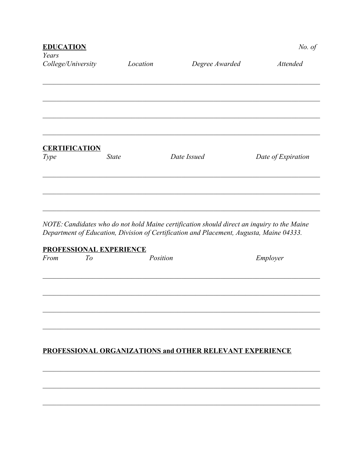| <b>EDUCATION</b><br>Years    |              |                | No. of             |
|------------------------------|--------------|----------------|--------------------|
| College/University           | Location     | Degree Awarded | <b>Attended</b>    |
|                              |              |                |                    |
|                              |              |                |                    |
|                              |              |                |                    |
| <b>CERTIFICATION</b><br>Type | <b>State</b> | Date Issued    | Date of Expiration |
|                              |              |                |                    |
|                              |              |                |                    |

NOTE: Candidates who do not hold Maine certification should direct an inquiry to the Maine Department of Education, Division of Certification and Placement, Augusta, Maine 04333.

## **PROFESSIONAL EXPERIENCE**

| From | To | Position                                                 | Employer |
|------|----|----------------------------------------------------------|----------|
|      |    |                                                          |          |
|      |    |                                                          |          |
|      |    |                                                          |          |
|      |    |                                                          |          |
|      |    |                                                          |          |
|      |    | PROFESSIONAL ORGANIZATIONS and OTHER RELEVANT EXPERIENCE |          |
|      |    |                                                          |          |
|      |    |                                                          |          |
|      |    |                                                          |          |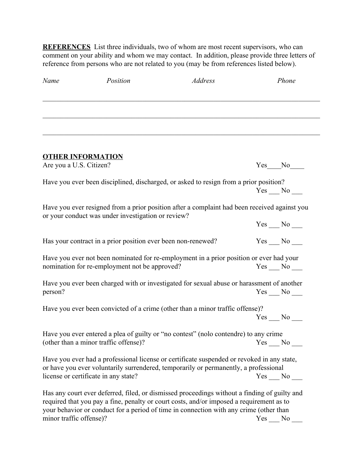**REFERENCES** List three individuals, two of whom are most recent supervisors, who can comment on your ability and whom we may contact. In addition, please provide three letters of reference from persons who are not related to you (may be from references listed below).

| Name                    | Position                                                                                                                                                                                                                                                                           | <b>Address</b> |        | Phone               |
|-------------------------|------------------------------------------------------------------------------------------------------------------------------------------------------------------------------------------------------------------------------------------------------------------------------------|----------------|--------|---------------------|
|                         |                                                                                                                                                                                                                                                                                    |                |        |                     |
|                         | <b>OTHER INFORMATION</b>                                                                                                                                                                                                                                                           |                |        |                     |
| Are you a U.S. Citizen? |                                                                                                                                                                                                                                                                                    |                |        | $Yes$ $No$ $\qquad$ |
|                         | Have you ever been disciplined, discharged, or asked to resign from a prior position?                                                                                                                                                                                              |                |        | $Yes \_\_No \_\_$   |
|                         | Have you ever resigned from a prior position after a complaint had been received against you<br>or your conduct was under investigation or review?                                                                                                                                 |                |        |                     |
|                         |                                                                                                                                                                                                                                                                                    |                |        | $Yes \_\_No \_\_$   |
|                         | Has your contract in a prior position ever been non-renewed?                                                                                                                                                                                                                       |                |        |                     |
|                         | Have you ever not been nominated for re-employment in a prior position or ever had your<br>nomination for re-employment not be approved?                                                                                                                                           |                |        | $Yes$ No ______     |
| person?                 | Have you ever been charged with or investigated for sexual abuse or harassment of another                                                                                                                                                                                          |                |        | $Yes$ No $\_\_$     |
|                         | Have you ever been convicted of a crime (other than a minor traffic offense)?                                                                                                                                                                                                      |                |        |                     |
|                         |                                                                                                                                                                                                                                                                                    |                |        | $Yes$ No $\_\_$     |
|                         | Have you ever entered a plea of guilty or "no contest" (nolo contendre) to any crime                                                                                                                                                                                               |                |        |                     |
|                         |                                                                                                                                                                                                                                                                                    |                |        |                     |
|                         | Have you ever had a professional license or certificate suspended or revoked in any state,<br>or have you ever voluntarily surrendered, temporarily or permanently, a professional                                                                                                 |                |        |                     |
|                         | license or certificate in any state?                                                                                                                                                                                                                                               |                |        |                     |
|                         | Has any court ever deferred, filed, or dismissed proceedings without a finding of guilty and<br>required that you pay a fine, penalty or court costs, and/or imposed a requirement as to<br>your behavior or conduct for a period of time in connection with any crime (other than |                |        |                     |
| minor traffic offense)? |                                                                                                                                                                                                                                                                                    |                | Yes No |                     |